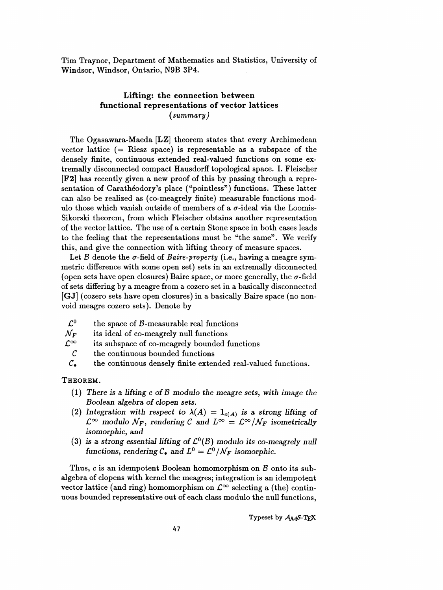Tim Traynor, Department of Mathematics and Statistics, University of Windsor, Windsor, Ontario, N9B 3P4.

## Lifting: the connection between functional representations of vector lattices  $(summary)$

 The Ogasawara-Maeda [LZ] theorem states that every Archimedean vector lattice  $(=$  Riesz space) is representable as a subspace of the densely finite, continuous extended real-valued functions on some ex tremally disconnected compact Hausdorff topological space. I. Fleischer [F2] has recently given a new proof of this by passing through a repre sentation of Carathéodory's place ("pointless") functions. These latter can also be realized as (co-meagrely finite) measurable functions mod ulo those which vanish outside of members of a  $\sigma$ -ideal via the Loomis- Sikorski theorem, from which Fleischer obtains another representation of the vector lattice. The use of a certain Stone space in both cases leads to the feeling that the representations must be "the same". We verify this, and give the connection with lifting theory of measure spaces.

Let B denote the  $\sigma$ -field of Baire-property (i.e., having a meagre sym metric difference with some open set) sets in an extremally diconnected (open sets have open closures) Baire space, or more generally, the  $\sigma$ -field of sets differing by a meagre from a cozero set in a basically disconnected [GJ] (cozero sets have open closures) in a basically Baire space (no non void meagre cozero sets). Denote by

- $\mathcal{L}^0$  the space of *B*-measurable real functions<br> $\mathcal{N}_F$  its ideal of co-meagrely null functions
- $\mathcal{N}_{\bm{F}}$  its ideal of co-meagrely null functions<br> $\mathcal{L}^{\infty}$  its subspace of co-meagrely bounded
- $\infty$  its subspace of co-meagrely bounded functions<br>  $\mathcal{C}$  the continuous bounded functions
- the continuous bounded functions
- $C_{\bullet}$  the continuous densely finite extended real-valued functions.

## Theorem.

- (1) There is a lifting c of B modulo the meagre sets, with image the Boolean algebra of clopen sets.
- (2) Integration with respect to  $\lambda(A) = \mathbf{1}_{c(A)}$  is a strong lifting of  $\mathcal{L}^{\infty}$  modulo  $\mathcal{N}_F$ , rendering C and  $L^{\infty} = \mathcal{L}^{\infty}/\mathcal{N}_F$  isometrically isomorphic, and
- (3) is a strong essential lifting of  $\mathcal{L}^0(\mathcal{B})$  modulo its co-meagrely null functions, rendering  $C_{\bullet}$  and  $L^0 = \mathcal{L}^0/\mathcal{N}_F$  isomorphic.

Thus, c is an idempotent Boolean homomorphism on  $\beta$  onto its sub algebra of clopens with kernel the meagres; integration is an idempotent vector lattice (and ring) homomorphism on  $\mathcal{L}^{\infty}$  selecting a (the) continuous bounded representative out of each class modulo the null functions,

Typeset by  $A_{\mathcal{M}}S$ -TFX